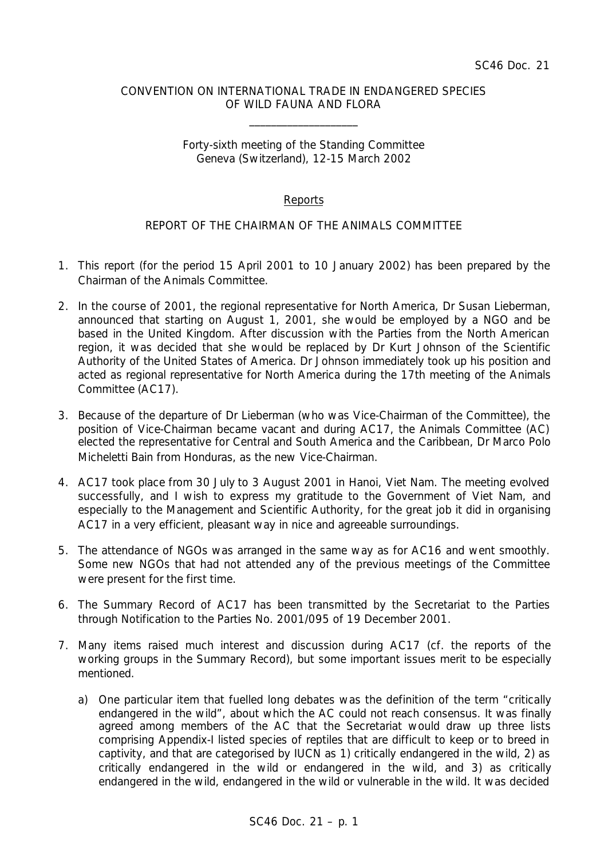## CONVENTION ON INTERNATIONAL TRADE IN ENDANGERED SPECIES OF WILD FAUNA AND FLORA

\_\_\_\_\_\_\_\_\_\_\_\_\_\_\_\_\_\_\_\_

### Forty-sixth meeting of the Standing Committee Geneva (Switzerland), 12-15 March 2002

# Reports

# REPORT OF THE CHAIRMAN OF THE ANIMALS COMMITTEE

- 1. This report (for the period 15 April 2001 to 10 January 2002) has been prepared by the Chairman of the Animals Committee.
- 2. In the course of 2001, the regional representative for North America, Dr Susan Lieberman, announced that starting on August 1, 2001, she would be employed by a NGO and be based in the United Kingdom. After discussion with the Parties from the North American region, it was decided that she would be replaced by Dr Kurt Johnson of the Scientific Authority of the United States of America. Dr Johnson immediately took up his position and acted as regional representative for North America during the 17th meeting of the Animals Committee (AC17).
- 3. Because of the departure of Dr Lieberman (who was Vice-Chairman of the Committee), the position of Vice-Chairman became vacant and during AC17, the Animals Committee (AC) elected the representative for Central and South America and the Caribbean, Dr Marco Polo Micheletti Bain from Honduras, as the new Vice-Chairman.
- 4. AC17 took place from 30 July to 3 August 2001 in Hanoi, Viet Nam. The meeting evolved successfully, and I wish to express my gratitude to the Government of Viet Nam, and especially to the Management and Scientific Authority, for the great job it did in organising AC17 in a very efficient, pleasant way in nice and agreeable surroundings.
- 5. The attendance of NGOs was arranged in the same way as for AC16 and went smoothly. Some new NGOs that had not attended any of the previous meetings of the Committee were present for the first time.
- 6. The Summary Record of AC17 has been transmitted by the Secretariat to the Parties through Notification to the Parties No. 2001/095 of 19 December 2001.
- 7. Many items raised much interest and discussion during AC17 (cf. the reports of the working groups in the Summary Record), but some important issues merit to be especially mentioned.
	- a) One particular item that fuelled long debates was the definition of the term "critically endangered in the wild", about which the AC could not reach consensus. It was finally agreed among members of the AC that the Secretariat would draw up three lists comprising Appendix-I listed species of reptiles that are difficult to keep or to breed in captivity, and that are categorised by IUCN as 1) critically endangered in the wild, 2) as critically endangered in the wild or endangered in the wild, and 3) as critically endangered in the wild, endangered in the wild or vulnerable in the wild. It was decided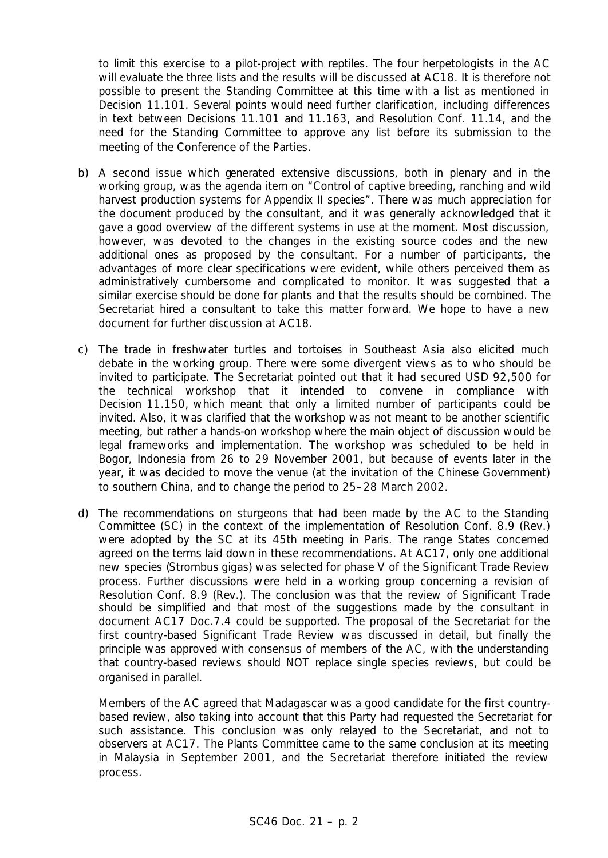to limit this exercise to a pilot-project with reptiles. The four herpetologists in the AC will evaluate the three lists and the results will be discussed at AC18. It is therefore not possible to present the Standing Committee at this time with a list as mentioned in Decision 11.101. Several points would need further clarification, including differences in text between Decisions 11.101 and 11.163, and Resolution Conf. 11.14, and the need for the Standing Committee to approve any list before its submission to the meeting of the Conference of the Parties.

- b) A second issue which generated extensive discussions, both in plenary and in the working group, was the agenda item on "Control of captive breeding, ranching and wild harvest production systems for Appendix II species". There was much appreciation for the document produced by the consultant, and it was generally acknowledged that it gave a good overview of the different systems in use at the moment. Most discussion, however, was devoted to the changes in the existing source codes and the new additional ones as proposed by the consultant. For a number of participants, the advantages of more clear specifications were evident, while others perceived them as administratively cumbersome and complicated to monitor. It was suggested that a similar exercise should be done for plants and that the results should be combined. The Secretariat hired a consultant to take this matter forward. We hope to have a new document for further discussion at AC18.
- c) The trade in freshwater turtles and tortoises in Southeast Asia also elicited much debate in the working group. There were some divergent views as to who should be invited to participate. The Secretariat pointed out that it had secured USD 92,500 for the technical workshop that it intended to convene in compliance with Decision 11.150, which meant that only a limited number of participants could be invited. Also, it was clarified that the workshop was not meant to be another scientific meeting, but rather a hands-on workshop where the main object of discussion would be legal frameworks and implementation. The workshop was scheduled to be held in Bogor, Indonesia from 26 to 29 November 2001, but because of events later in the year, it was decided to move the venue (at the invitation of the Chinese Government) to southern China, and to change the period to 25–28 March 2002.
- d) The recommendations on sturgeons that had been made by the AC to the Standing Committee (SC) in the context of the implementation of Resolution Conf. 8.9 (Rev.) were adopted by the SC at its 45th meeting in Paris. The range States concerned agreed on the terms laid down in these recommendations. At AC17, only one additional new species (*Strombus gigas*) was selected for phase V of the Significant Trade Review process. Further discussions were held in a working group concerning a revision of Resolution Conf. 8.9 (Rev.). The conclusion was that the review of Significant Trade should be simplified and that most of the suggestions made by the consultant in document AC17 Doc.7.4 could be supported. The proposal of the Secretariat for the first country-based Significant Trade Review was discussed in detail, but finally the principle was approved with consensus of members of the AC, with the understanding that country-based reviews should NOT replace single species reviews, but could be organised in parallel.

Members of the AC agreed that Madagascar was a good candidate for the first countrybased review, also taking into account that this Party had requested the Secretariat for such assistance. This conclusion was only relayed to the Secretariat, and not to observers at AC17. The Plants Committee came to the same conclusion at its meeting in Malaysia in September 2001, and the Secretariat therefore initiated the review process.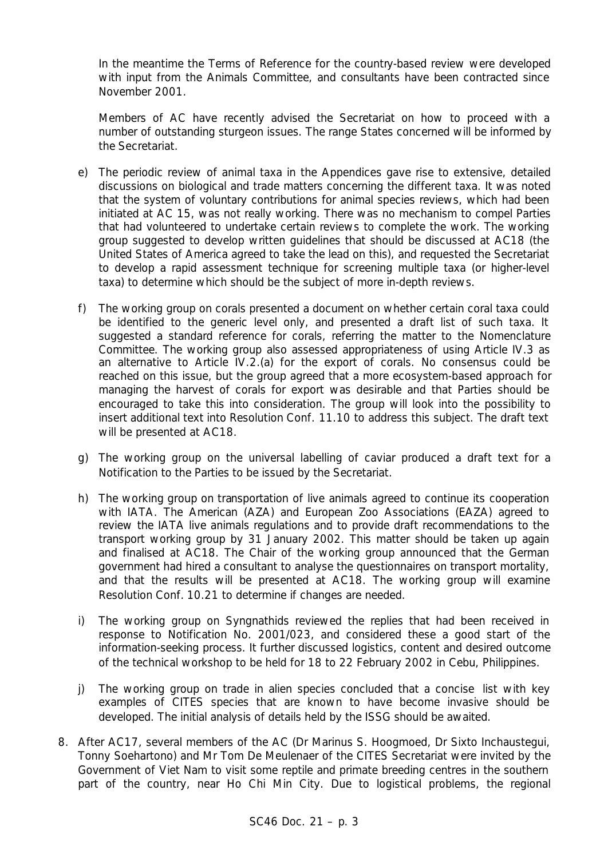In the meantime the Terms of Reference for the country-based review were developed with input from the Animals Committee, and consultants have been contracted since November 2001.

Members of AC have recently advised the Secretariat on how to proceed with a number of outstanding sturgeon issues. The range States concerned will be informed by the Secretariat.

- e) The periodic review of animal taxa in the Appendices gave rise to extensive, detailed discussions on biological and trade matters concerning the different taxa. It was noted that the system of voluntary contributions for animal species reviews, which had been initiated at AC 15, was not really working. There was no mechanism to compel Parties that had volunteered to undertake certain reviews to complete the work. The working group suggested to develop written guidelines that should be discussed at AC18 (the United States of America agreed to take the lead on this), and requested the Secretariat to develop a rapid assessment technique for screening multiple taxa (or higher-level taxa) to determine which should be the subject of more in-depth reviews.
- f) The working group on corals presented a document on whether certain coral taxa could be identified to the generic level only, and presented a draft list of such taxa. It suggested a standard reference for corals, referring the matter to the Nomenclature Committee. The working group also assessed appropriateness of using Article IV.3 as an alternative to Article IV.2.(a) for the export of corals. No consensus could be reached on this issue, but the group agreed that a more ecosystem-based approach for managing the harvest of corals for export was desirable and that Parties should be encouraged to take this into consideration. The group will look into the possibility to insert additional text into Resolution Conf. 11.10 to address this subject. The draft text will be presented at AC18.
- g) The working group on the universal labelling of caviar produced a draft text for a Notification to the Parties to be issued by the Secretariat.
- h) The working group on transportation of live animals agreed to continue its cooperation with IATA. The American (AZA) and European Zoo Associations (EAZA) agreed to review the IATA live animals regulations and to provide draft recommendations to the transport working group by 31 January 2002. This matter should be taken up again and finalised at AC18. The Chair of the working group announced that the German government had hired a consultant to analyse the questionnaires on transport mortality, and that the results will be presented at AC18. The working group will examine Resolution Conf. 10.21 to determine if changes are needed.
- i) The working group on Syngnathids reviewed the replies that had been received in response to Notification No. 2001/023, and considered these a good start of the information-seeking process. It further discussed logistics, content and desired outcome of the technical workshop to be held for 18 to 22 February 2002 in Cebu, Philippines.
- j) The working group on trade in alien species concluded that a concise list with key examples of CITES species that are known to have become invasive should be developed. The initial analysis of details held by the ISSG should be awaited.
- 8. After AC17, several members of the AC (Dr Marinus S. Hoogmoed, Dr Sixto Inchaustegui, Tonny Soehartono) and Mr Tom De Meulenaer of the CITES Secretariat were invited by the Government of Viet Nam to visit some reptile and primate breeding centres in the southern part of the country, near Ho Chi Min City. Due to logistical problems, the regional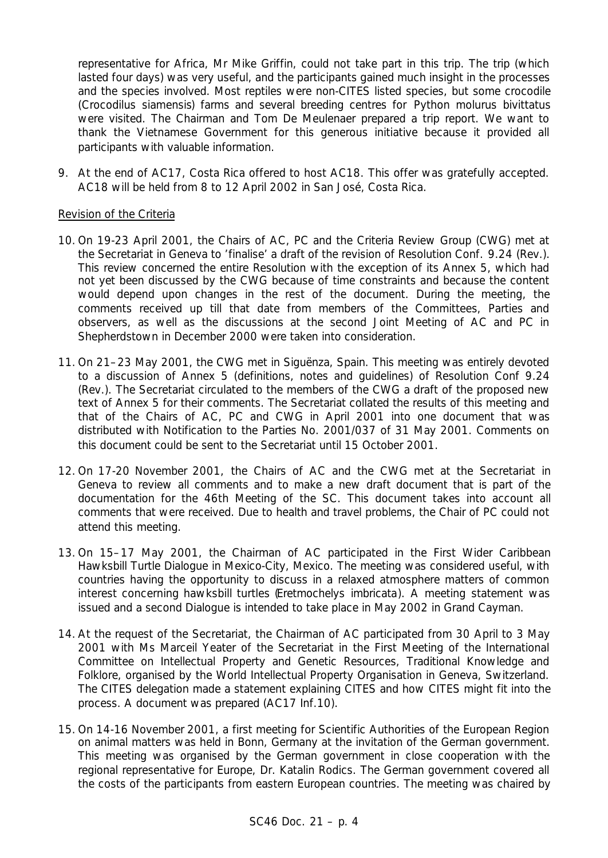representative for Africa, Mr Mike Griffin, could not take part in this trip. The trip (which lasted four days) was very useful, and the participants gained much insight in the processes and the species involved. Most reptiles were non-CITES listed species, but some crocodile (*Crocodilus siamensis*) farms and several breeding centres for *Python molurus bivittatus* were visited. The Chairman and Tom De Meulenaer prepared a trip report. We want to thank the Vietnamese Government for this generous initiative because it provided all participants with valuable information.

9. At the end of AC17, Costa Rica offered to host AC18. This offer was gratefully accepted. AC18 will be held from 8 to 12 April 2002 in San José, Costa Rica.

## Revision of the Criteria

- 10. On 19-23 April 2001, the Chairs of AC, PC and the Criteria Review Group (CWG) met at the Secretariat in Geneva to 'finalise' a draft of the revision of Resolution Conf. 9.24 (Rev.). This review concerned the entire Resolution with the exception of its Annex 5, which had not yet been discussed by the CWG because of time constraints and because the content would depend upon changes in the rest of the document. During the meeting, the comments received up till that date from members of the Committees, Parties and observers, as well as the discussions at the second Joint Meeting of AC and PC in Shepherdstown in December 2000 were taken into consideration.
- 11. On 21–23 May 2001, the CWG met in Siguënza, Spain. This meeting was entirely devoted to a discussion of Annex 5 (definitions, notes and guidelines) of Resolution Conf 9.24 (Rev.). The Secretariat circulated to the members of the CWG a draft of the proposed new text of Annex 5 for their comments. The Secretariat collated the results of this meeting and that of the Chairs of AC, PC and CWG in April 2001 into one document that was distributed with Notification to the Parties No. 2001/037 of 31 May 2001. Comments on this document could be sent to the Secretariat until 15 October 2001.
- 12. On 17-20 November 2001, the Chairs of AC and the CWG met at the Secretariat in Geneva to review all comments and to make a new draft document that is part of the documentation for the 46th Meeting of the SC. This document takes into account all comments that were received. Due to health and travel problems, the Chair of PC could not attend this meeting.
- 13. On 15–17 May 2001, the Chairman of AC participated in the First Wider Caribbean Hawksbill Turtle Dialogue in Mexico-City, Mexico. The meeting was considered useful, with countries having the opportunity to discuss in a relaxed atmosphere matters of common interest concerning hawksbill turtles (*Eretmochelys imbricata*). A meeting statement was issued and a second Dialogue is intended to take place in May 2002 in Grand Cayman.
- 14. At the request of the Secretariat, the Chairman of AC participated from 30 April to 3 May 2001 with Ms Marceil Yeater of the Secretariat in the First Meeting of the International Committee on Intellectual Property and Genetic Resources, Traditional Knowledge and Folklore, organised by the World Intellectual Property Organisation in Geneva, Switzerland. The CITES delegation made a statement explaining CITES and how CITES might fit into the process. A document was prepared (AC17 Inf.10).
- 15. On 14-16 November 2001, a first meeting for Scientific Authorities of the European Region on animal matters was held in Bonn, Germany at the invitation of the German government. This meeting was organised by the German government in close cooperation with the regional representative for Europe, Dr. Katalin Rodics. The German government covered all the costs of the participants from eastern European countries. The meeting was chaired by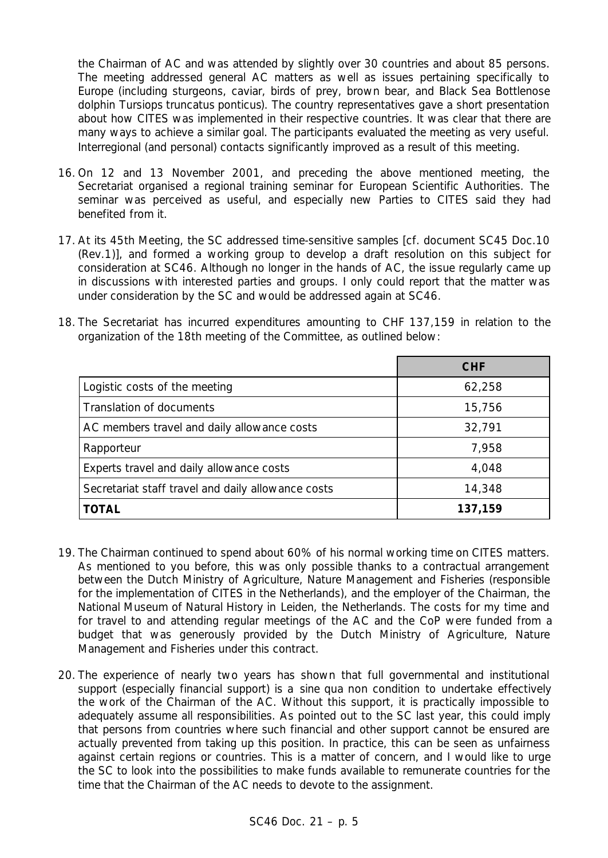the Chairman of AC and was attended by slightly over 30 countries and about 85 persons. The meeting addressed general AC matters as well as issues pertaining specifically to Europe (including sturgeons, caviar, birds of prey, brown bear, and Black Sea Bottlenose dolphin *Tursiops truncatus ponticus*). The country representatives gave a short presentation about how CITES was implemented in their respective countries. It was clear that there are many ways to achieve a similar goal. The participants evaluated the meeting as very useful. Interregional (and personal) contacts significantly improved as a result of this meeting.

- 16. On 12 and 13 November 2001, and preceding the above mentioned meeting, the Secretariat organised a regional training seminar for European Scientific Authorities. The seminar was perceived as useful, and especially new Parties to CITES said they had benefited from it.
- 17. At its 45th Meeting, the SC addressed time-sensitive samples [cf. document SC45 Doc.10 (Rev.1)], and formed a working group to develop a draft resolution on this subject for consideration at SC46. Although no longer in the hands of AC, the issue regularly came up in discussions with interested parties and groups. I only could report that the matter was under consideration by the SC and would be addressed again at SC46.
- 18. The Secretariat has incurred expenditures amounting to CHF 137,159 in relation to the organization of the 18th meeting of the Committee, as outlined below:

|                                                    | <b>CHF</b> |
|----------------------------------------------------|------------|
| Logistic costs of the meeting                      | 62,258     |
| Translation of documents                           | 15,756     |
| AC members travel and daily allowance costs        | 32,791     |
| Rapporteur                                         | 7,958      |
| Experts travel and daily allowance costs           | 4,048      |
| Secretariat staff travel and daily allowance costs | 14,348     |
| <b>TOTAL</b>                                       | 137,159    |

- 19. The Chairman continued to spend about 60% of his normal working time on CITES matters. As mentioned to you before, this was only possible thanks to a contractual arrangement between the Dutch Ministry of Agriculture, Nature Management and Fisheries (responsible for the implementation of CITES in the Netherlands), and the employer of the Chairman, the National Museum of Natural History in Leiden, the Netherlands. The costs for my time and for travel to and attending regular meetings of the AC and the CoP were funded from a budget that was generously provided by the Dutch Ministry of Agriculture, Nature Management and Fisheries under this contract.
- 20. The experience of nearly two years has shown that full governmental and institutional support (especially financial support) is a *sine qua non* condition to undertake effectively the work of the Chairman of the AC. Without this support, it is practically impossible to adequately assume all responsibilities. As pointed out to the SC last year, this could imply that persons from countries where such financial and other support cannot be ensured are actually prevented from taking up this position. In practice, this can be seen as unfairness against certain regions or countries. This is a matter of concern, and I would like to urge the SC to look into the possibilities to make funds available to remunerate countries for the time that the Chairman of the AC needs to devote to the assignment.